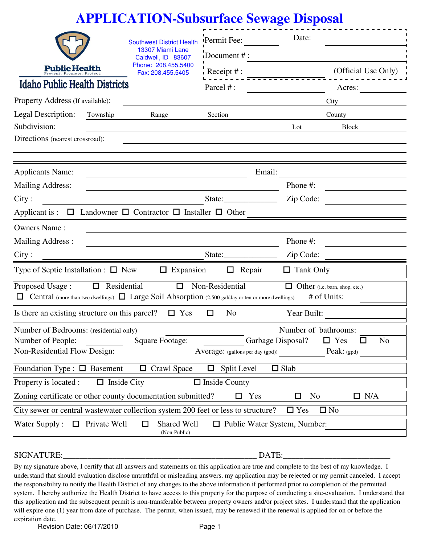|                                                                                             | <b>APPLICATION-Subsurface Sewage Disposal</b>                                                                                                  |                                  |                                                                                               |
|---------------------------------------------------------------------------------------------|------------------------------------------------------------------------------------------------------------------------------------------------|----------------------------------|-----------------------------------------------------------------------------------------------|
|                                                                                             | <b>Southwest District Health</b>                                                                                                               | Permit Fee:                      | Date:                                                                                         |
|                                                                                             | 13307 Miami Lane<br>Caldwell, ID 83607                                                                                                         | Document #:                      |                                                                                               |
| <b>Public Health</b>                                                                        | Phone: 208.455.5400<br>Fax: 208.455.5405                                                                                                       | Receipt $#$ :                    | (Official Use Only)                                                                           |
| <b>Idaho Public Health Districts</b>                                                        |                                                                                                                                                | Parcel #:                        | Acres:                                                                                        |
| Property Address (If available):                                                            |                                                                                                                                                |                                  | City                                                                                          |
| <b>Legal Description:</b><br>Township                                                       | Range                                                                                                                                          | Section                          | County                                                                                        |
| Subdivision:                                                                                |                                                                                                                                                |                                  | Lot<br><b>Block</b>                                                                           |
| Directions (nearest crossroad):                                                             |                                                                                                                                                |                                  |                                                                                               |
|                                                                                             |                                                                                                                                                |                                  |                                                                                               |
| <b>Applicants Name:</b><br><b>Mailing Address:</b>                                          |                                                                                                                                                | Email:                           | Phone #:                                                                                      |
| City:                                                                                       |                                                                                                                                                | State:                           | Zip Code:                                                                                     |
|                                                                                             | Applicant is : $\Box$ Landowner $\Box$ Contractor $\Box$ Installer $\Box$ Other                                                                |                                  |                                                                                               |
| <b>Owners Name:</b>                                                                         | the control of the control of the control of the control of the control of the control of                                                      |                                  |                                                                                               |
| <b>Mailing Address:</b>                                                                     | the control of the control of the control of the control of the control of the control of                                                      |                                  | Phone #:                                                                                      |
| City:                                                                                       |                                                                                                                                                | State:                           | Zip Code:                                                                                     |
| Type of Septic Installation : $\Box$ New                                                    | $\Box$ Expansion                                                                                                                               | $\Box$ Repair                    | $\Box$ Tank Only                                                                              |
| Proposed Usage:                                                                             | $\Box$<br>$\Box$ Residential<br>$\Box$ Central (more than two dwellings) $\Box$ Large Soil Absorption (2,500 gal/day or ten or more dwellings) | Non-Residential                  | <b>Other</b> (i.e. barn, shop, etc.)<br># of Units:                                           |
| Is there an existing structure on this parcel?                                              | $\Box$ Yes                                                                                                                                     | N <sub>o</sub><br>$\Box$         | Year Built:                                                                                   |
| Number of Bedrooms: (residential only)<br>Number of People:<br>Non-Residential Flow Design: | Square Footage:                                                                                                                                | Average: (gallons per day (gpd)) | Number of bathrooms:<br>Garbage Disposal?<br>N <sub>o</sub><br>$\Box$ Yes<br>□<br>Peak: (gpd) |
| Foundation Type : $\Box$ Basement                                                           | $\Box$ Crawl Space                                                                                                                             | Split Level<br>$\Box$            | $\Box$ Slab                                                                                   |
| Property is located :<br>□                                                                  | <b>Inside City</b>                                                                                                                             | $\Box$ Inside County             |                                                                                               |
|                                                                                             | Zoning certificate or other county documentation submitted?                                                                                    | Yes<br>□                         | N <sub>o</sub><br>$\Box$ N/A<br>□                                                             |
|                                                                                             | City sewer or central wastewater collection system 200 feet or less to structure?                                                              |                                  | $\square$ No<br>$\Box$ Yes                                                                    |
| Private Well<br>Water Supply:<br>$\Box$                                                     | $\Box$<br>Shared Well<br>(Non-Public)                                                                                                          |                                  | $\Box$ Public Water System, Number:                                                           |

## SIGNATURE:\_\_\_\_\_\_\_\_\_\_\_\_\_\_\_\_\_\_\_\_\_\_\_\_\_\_\_\_\_\_\_\_\_\_\_\_\_\_\_\_\_\_\_\_\_\_\_ DATE:\_\_\_\_\_\_\_\_\_\_\_\_\_\_\_\_\_\_\_\_\_\_\_\_\_\_

Ė

By my signature above, I certify that all answers and statements on this application are true and complete to the best of my knowledge. I understand that should evaluation disclose untruthful or misleading answers, my application may be rejected or my permit canceled. I accept the responsibility to notify the Health District of any changes to the above information if performed prior to completion of the permitted system. I hereby authorize the Health District to have access to this property for the purpose of conducting a site-evaluation. I understand that this application and the subsequent permit is non-transferable between property owners and/or project sites. I understand that the application will expire one (1) year from date of purchase. The permit, when issued, may be renewed if the renewal is applied for on or before the expiration date.

Revision Date: 06/17/2010 Page 1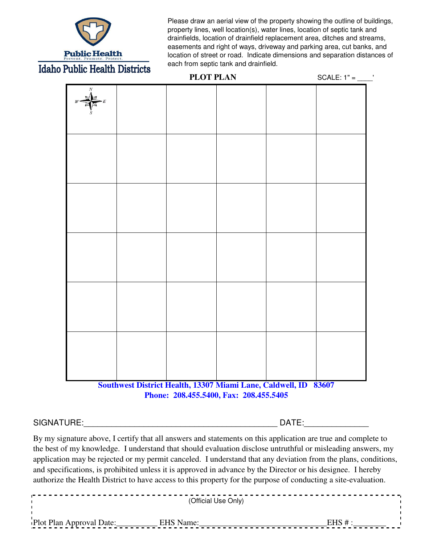

Please draw an aerial view of the property showing the outline of buildings, property lines, well location(s), water lines, location of septic tank and drainfields, location of drainfield replacement area, ditches and streams, easements and right of ways, driveway and parking area, cut banks, and location of street or road. Indicate dimensions and separation distances of each from septic tank and drainfield.

| I ANTIC TICOLUI DISTICIO | <b>PLOT PLAN</b>                                                                                          | $SCALE: 1" = \underline{\qquad \qquad}$ |
|--------------------------|-----------------------------------------------------------------------------------------------------------|-----------------------------------------|
|                          |                                                                                                           |                                         |
|                          |                                                                                                           |                                         |
|                          |                                                                                                           |                                         |
|                          |                                                                                                           |                                         |
|                          |                                                                                                           |                                         |
|                          |                                                                                                           |                                         |
|                          | Southwest District Health, 13307 Miami Lane, Caldwell, ID 83607<br>Phone: 208.455.5400, Fax: 208.455.5405 |                                         |

## SIGNATURE:\_\_\_\_\_\_\_\_\_\_\_\_\_\_\_\_\_\_\_\_\_\_\_\_\_\_\_\_\_\_\_\_\_\_\_\_\_\_\_\_\_\_ DATE:\_\_\_\_\_\_\_\_\_\_\_\_\_\_

By my signature above, I certify that all answers and statements on this application are true and complete to the best of my knowledge. I understand that should evaluation disclose untruthful or misleading answers, my application may be rejected or my permit canceled. I understand that any deviation from the plans, conditions, and specifications, is prohibited unless it is approved in advance by the Director or his designee. I hereby authorize the Health District to have access to this property for the purpose of conducting a site-evaluation.

| (Official Use Only)                |  |
|------------------------------------|--|
| Plot Plan Approval Date: EHS Name: |  |
|                                    |  |